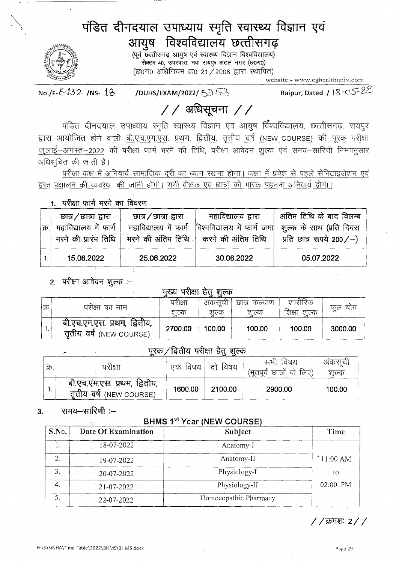# पंडित दीनदयाल उपाध्याय स्मृति स्वास्थ्य विज्ञान एवं आयुष विश्वविद्यालय छत्तीसगढ़



(पूर्व छत्तीसगढ़ आयुष एवं स्वास्थ्य विज्ञान विश्वविद्यालय) सेक्टर 40, उपरवारा, नवा रायपुर अटल नगर (छ0ग0) (छ०ग० अधिनियम क्र0 21/2008 द्वारा स्थापित)

website:- www.cghealthuniv.com

 $No.F-E-132$  /NS-18

/DUHS/EXAM/2022/ 5953

Raipur, Dated / 18-05-22

# $//$  अधिसूचना //

पंडित दीनदयाल उपाध्याय स्मृति स्वास्थ्य विज्ञान एवं आयुष विश्वविद्यालय, छत्तीसगढ़, रायपुर द्वारा आयोजित होने वाली बी.एच.एम.एस. प्रथम, द्वितीय, तृतीय वर्ष (NEW COURSE) की पूरक परीक्षा जुलाई–अगस्त–2022 की परीक्षा फार्म भरने की तिथि, परीक्षा आवेदन शुल्क एवं समय–सारिणी निम्नानुसार अधिसूचित की जाती है।

परीक्षा कक्ष में अनिवार्य सामाजिक दूरी का ध्यान रखना होगा। कक्षा में प्रवेश से पहले सेनिटाइजेशन एवं हस्त प्रक्षालन की व्यवस्था की जानी होगी। सभी वीक्षक एवं छात्रों को मास्क पहनना अनिवार्य होगा।

### 1. परीक्षा फार्म भरने का विवरण

| চ্যার∕ छাत्रा द्वारा<br> क्र.  महाविद्यालय में फार्म<br>भरने की प्रारंभ तिथि $\mid$ | চার / চারা द्वारा<br>महाविद्यालय में फार्म | महाविद्यालय द्वारा<br>विश्वविद्यालय में फार्म जमा<br>भरने की अंतिम तिथि   करने की अंतिम तिथि | अंतिम तिथि के बाद विलम्ब<br>शूल्क के साथ (प्रति दिवस<br>प्रति छात्र रूपये 200/-) |
|-------------------------------------------------------------------------------------|--------------------------------------------|----------------------------------------------------------------------------------------------|----------------------------------------------------------------------------------|
| 15.06.2022                                                                          | 25.06.2022                                 | 30.06.2022                                                                                   | 05.07.2022                                                                       |

## 2. परीक्षा आवेदन शुल्क :--

### मख्य परीक्षा हेत शल्क

| 'क्र. | परीक्षा का नाम                                         | परीक्षा<br>शल्क | अकसची<br>शत्क | छात्र कल्याण<br>शल्क | शारीरिक<br>शिक्षा<br>शल्क | कूल योग |
|-------|--------------------------------------------------------|-----------------|---------------|----------------------|---------------------------|---------|
|       | बी.एच.एम.एस. प्रथम, द्वितीय,<br>ततीय वर्ष (NEW COURSE) | 2700.00         | 100.00        | 100.00               | 100.00                    | 3000.00 |

## पूरक / द्वितीय परीक्षा हेतु शुल्क

| क्र. | परीक्षा                                                | एक<br>विषय | विषय<br>टो | सभी<br>विषय<br>ाभूतपूर्व छात्रों के लिए)। | अकसूची<br>शल्क |
|------|--------------------------------------------------------|------------|------------|-------------------------------------------|----------------|
| ٠.   | बी.एच.एम.एस. प्रथम, द्वितीय,<br>ततीय वर्ष (NEW COURSE) | 1600.00    | 2100.00    | 2900.00                                   | 100.00         |

#### समय—सारिणी $:=$  $3<sub>l</sub>$

# **BHMS 1st Year (NEW COURSE)**

| S.No. | Date Of Examination | Subject               | Time     |
|-------|---------------------|-----------------------|----------|
| ı.    | 18-07-2022          | Anatomy-I             |          |
| 2.    | 19-07-2022          | Anatomy-II            | 11:00 AM |
| 3.    | 20-07-2022          | Physiology-I          | to       |
| 4.    | 21-07-2022          | Physiology-II         | 02:00 PM |
| 5.    | 22-07-2022          | Homoeopathic Pharmacy |          |

 $//$ क्रमशः 2 $//$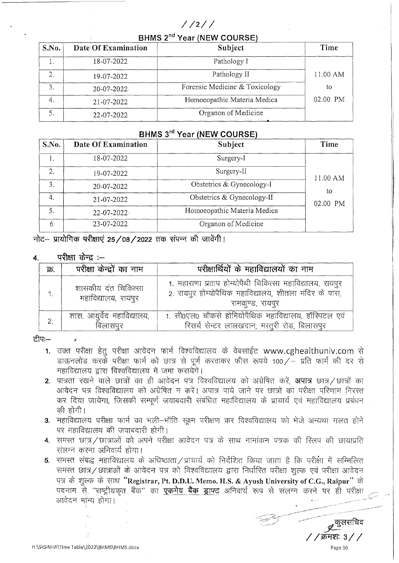# $1/2$  /  $/$

BHMS 2<sup>nd</sup> Year (NEW COURSE)

| S.No. | Date Of Examination | Subject                        | Time     |
|-------|---------------------|--------------------------------|----------|
|       | 18-07-2022          | Pathology I                    |          |
| 2.    | 19-07-2022          | Pathology II                   | 11.00 AM |
| 3.    | $-20 - 07 - 2022$   | Forensic Medicine & Toxicology | tο       |
| 4.    | 21-07-2022          | Homoeopathic Materia Medica    | 02.00 PM |
|       | $-22 - 07 - 2022$   | Organon of Medicine            |          |

### BHMS 3rd Year (NEW COURSE)

| S.No. | Date Of Examination | Subject                     | Time        |
|-------|---------------------|-----------------------------|-------------|
|       | 18-07-2022          | Surgery-I                   |             |
| 2.    | 19-07-2022          | Surgery-II                  | $-11.00$ AM |
| 3.    | 20-07-2022          | Obstetrics & Gynecology-I   | to          |
| 4.    | $-21 - 07 - 2022$   | Obstetrics & Gynecology-II  | 02.00 PM    |
| 5.    | $-22 - 07 - 2022$   | Homoeopathic Materia Medica |             |
| 6     | 23-07-2022.         | Organon of Medicine         |             |

नोट– प्रायोगिक परीक्षाएं 25/08/2022 तक संपन्न की जावेंगी।

#### परीक्षा केन्द्र $:=$  $\overline{4}$

| क्र. | परीक्षा केन्द्रों का नाम                   | परीक्षार्थियों के महाविद्यालयों का नाम                                                                                                  |
|------|--------------------------------------------|-----------------------------------------------------------------------------------------------------------------------------------------|
|      | शासकीय दंत चिकित्सा<br>महाविद्यालय, रायपुर | 1. महाराणा प्रताप होम्योपैथी चिकित्सा महाविद्यालय, रायपुर<br>2. रायपुर होम्योपैथिक महाविद्यालय, शीतला मंदिर के पास,<br>रामकूण्ड, रायपुर |
| 2.   | शास. आयुर्वेद महाविद्यालय,<br>बिलासपुर     | 1. सी0एल0 चौकसे होमियोपैथिक महाविद्यालय, हॉस्पिटल एवं<br>रिसर्च सेन्टर लालखदान, मस्तुरी रोड, बिलासपुर                                   |

ਟੀਧ:—

- 1. उक्त परीक्षा हेतू परीक्षा आवेदन फार्म विश्वविद्यालय के वेबसाईट www.cghealthuniv.com से डाऊनलोड करके परीक्षा फार्म को छात्र से पूर्ण करवाकर फीस रूपये 100/- प्रति फार्म की दर से महाविद्यालय द्वारा विश्वविद्यालय में जमा करायेगें।
- 2. पात्रता रखने वाले छात्रों का ही आवेदन पत्र विश्वविद्यालय को अग्रेषित करें. **अपात्र** छात्र छात्रों का आवेदन पत्र विश्वविद्यालय को अग्रेषित न करें। अपात्र पाये जाने पर छात्रों का परीक्षा परिणाम निरस्त कर दिया जायेगा, जिसकी सम्पूर्ण जवाबदारी संबंधित महाविद्यालय के प्राचार्य एवं महाविद्यालय प्रबंधन की होगी।
- 3. महाविद्यालय परीक्षा फार्म का भली-भाँति सूक्ष्म परीक्षण कर विश्वविद्यालय को भेजे अन्यथा गलत होने पर महाविद्यालय की जवाबदारी होगी।
- 4. समस्त छात्रं/छात्राओं को अपने परीक्षा आवेदन पत्र के साथ नामांकन पत्रक की रिलप की छायाप्रति संलग्न करना अनिवार्य होगा।
- 5. समस्त संबद्ध महाविद्यालय के अधिष्ठाता / प्राचार्य को निर्देशित किया जाता है कि परीक्षा में सम्मिलित समस्त छात्र/छात्राओं के आवेदन पत्र को विश्वविद्यालय द्वारा निर्धारित परीक्षा शुल्क एवं परीक्षा आवेदन पत्र के शुल्क के साथ "Registrar, Pt. D.D.U. Memo. H.S. & Ayush University of C.G., Raipur" के पदनाम से "राष्ट्रीयकृत बैंक" का **एकमेव बैंक ड्राफ्ट** अनिवार्य रूप से संलग्न करने पर ही परीक्षा आवेदन मांन्य होगा।

'क्रमशः ३ Page 30